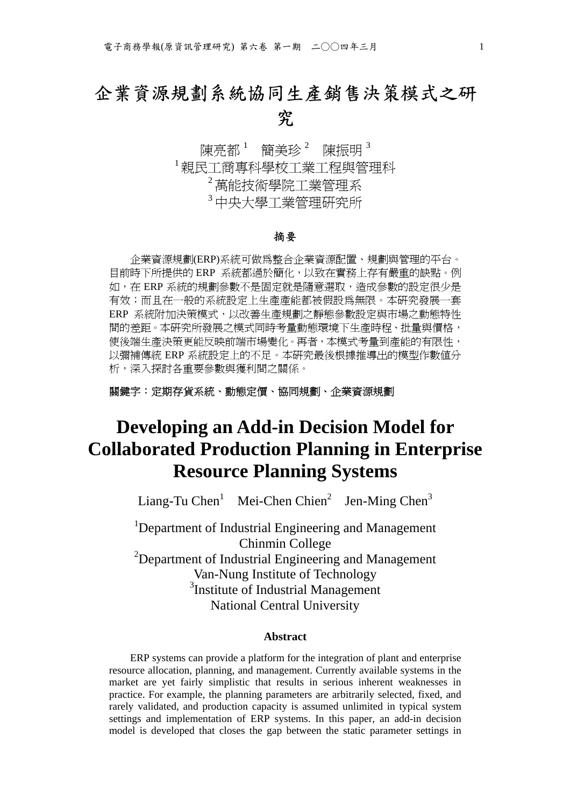# 企業資源規劃系統協同生產銷售決策模式之研 究

陳亮都 ' 簡美珍 $^{\,2}\,$  陳振明 $^{\,3}\,$ <sup>1</sup>親民工商專科學校工業工程與管理科 <sup>2</sup>萬能技術學院工業管理系 3中中大學工業<del>管</del>理研究所

#### 摘要

企業資源規劃(ERP)系統可做為整合企業資源配置、規劃與管理的平台。 目前時下所提供的 ERP 系統都過於簡化,以致在實務上存有嚴重的缺點。例 如,在 ERP 系統的規劃參數不是固定就是隨意選取,造成參數的設定很少是 有效;而且在一般的系統設定上生產產能都被假設為無限。本研究發展一套 ERP 系統附加決策模式,以改善生產規劃之靜態參數設定與市場之動態特性 間的差距。本研究所發展之模式同時考量動態環境下生產時程、批量與價格, 使後端生產決策更能反映前端市場變化。再者,本模式考量到產能的有限性, 以彌補傳統 ERP 系統設定上的不足。本研究最後根據推導出的模型作數值分 析,深入探討各重要參數與獲利間之關係。

#### 關鍵字:定期存貨系統、動態定價、協同規劃、企業資源規劃

# **Developing an Add-in Decision Model for Collaborated Production Planning in Enterprise Resource Planning Systems**

Liang-Tu Chen<sup>1</sup> Mei-Chen Chien<sup>2</sup> Jen-Ming Chen<sup>3</sup>

<sup>1</sup>Department of Industrial Engineering and Management Chinmin College <sup>2</sup>Department of Industrial Engineering and Management Van-Nung Institute of Technology <sup>3</sup>Institute of Industrial Management National Central University

#### **Abstract**

ERP systems can provide a platform for the integration of plant and enterprise resource allocation, planning, and management. Currently available systems in the market are yet fairly simplistic that results in serious inherent weaknesses in practice. For example, the planning parameters are arbitrarily selected, fixed, and rarely validated, and production capacity is assumed unlimited in typical system settings and implementation of ERP systems. In this paper, an add-in decision model is developed that closes the gap between the static parameter settings in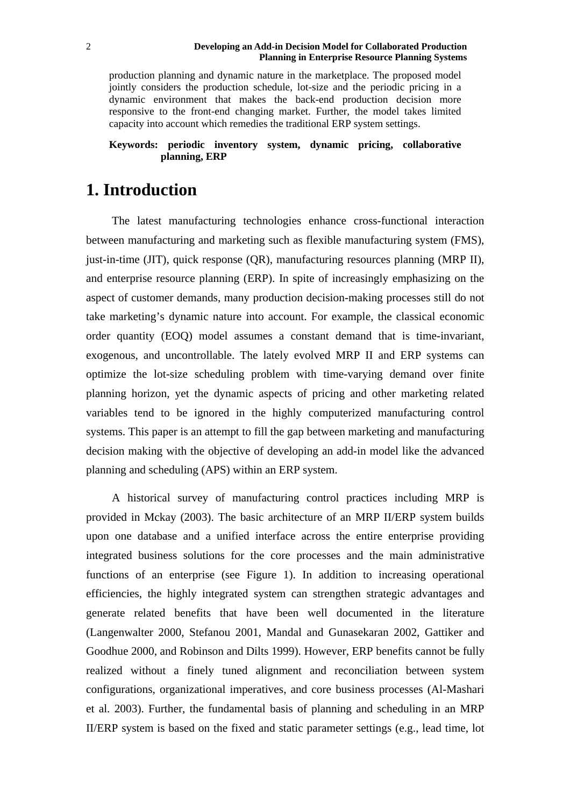#### **Developing an Add-in Decision Model for Collaborated Production Planning in Enterprise Resource Planning Systems**

production planning and dynamic nature in the marketplace. The proposed model jointly considers the production schedule, lot-size and the periodic pricing in a dynamic environment that makes the back-end production decision more responsive to the front-end changing market. Further, the model takes limited capacity into account which remedies the traditional ERP system settings.

#### **Keywords: periodic inventory system, dynamic pricing, collaborative planning, ERP**

### **1. Introduction**

The latest manufacturing technologies enhance cross-functional interaction between manufacturing and marketing such as flexible manufacturing system (FMS), just-in-time (JIT), quick response (QR), manufacturing resources planning (MRP II), and enterprise resource planning (ERP). In spite of increasingly emphasizing on the aspect of customer demands, many production decision-making processes still do not take marketing's dynamic nature into account. For example, the classical economic order quantity (EOQ) model assumes a constant demand that is time-invariant, exogenous, and uncontrollable. The lately evolved MRP II and ERP systems can optimize the lot-size scheduling problem with time-varying demand over finite planning horizon, yet the dynamic aspects of pricing and other marketing related variables tend to be ignored in the highly computerized manufacturing control systems. This paper is an attempt to fill the gap between marketing and manufacturing decision making with the objective of developing an add-in model like the advanced planning and scheduling (APS) within an ERP system.

A historical survey of manufacturing control practices including MRP is provided in Mckay (2003). The basic architecture of an MRP II/ERP system builds upon one database and a unified interface across the entire enterprise providing integrated business solutions for the core processes and the main administrative functions of an enterprise (see Figure 1). In addition to increasing operational efficiencies, the highly integrated system can strengthen strategic advantages and generate related benefits that have been well documented in the literature (Langenwalter 2000, Stefanou 2001, Mandal and Gunasekaran 2002, Gattiker and Goodhue 2000, and Robinson and Dilts 1999). However, ERP benefits cannot be fully realized without a finely tuned alignment and reconciliation between system configurations, organizational imperatives, and core business processes (Al-Mashari et al. 2003). Further, the fundamental basis of planning and scheduling in an MRP II/ERP system is based on the fixed and static parameter settings (e.g., lead time, lot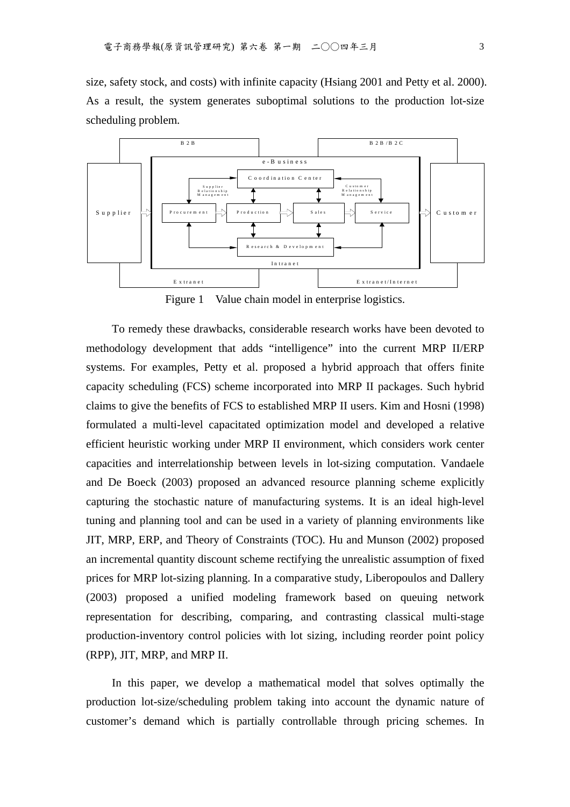size, safety stock, and costs) with infinite capacity (Hsiang 2001 and Petty et al. 2000). As a result, the system generates suboptimal solutions to the production lot-size scheduling problem.



Figure 1 Value chain model in enterprise logistics.

To remedy these drawbacks, considerable research works have been devoted to methodology development that adds "intelligence" into the current MRP II/ERP systems. For examples, Petty et al. proposed a hybrid approach that offers finite capacity scheduling (FCS) scheme incorporated into MRP II packages. Such hybrid claims to give the benefits of FCS to established MRP II users. Kim and Hosni (1998) formulated a multi-level capacitated optimization model and developed a relative efficient heuristic working under MRP II environment, which considers work center capacities and interrelationship between levels in lot-sizing computation. Vandaele and De Boeck (2003) proposed an advanced resource planning scheme explicitly capturing the stochastic nature of manufacturing systems. It is an ideal high-level tuning and planning tool and can be used in a variety of planning environments like JIT, MRP, ERP, and Theory of Constraints (TOC). Hu and Munson (2002) proposed an incremental quantity discount scheme rectifying the unrealistic assumption of fixed prices for MRP lot-sizing planning. In a comparative study, Liberopoulos and Dallery (2003) proposed a unified modeling framework based on queuing network representation for describing, comparing, and contrasting classical multi-stage production-inventory control policies with lot sizing, including reorder point policy (RPP), JIT, MRP, and MRP II.

In this paper, we develop a mathematical model that solves optimally the production lot-size/scheduling problem taking into account the dynamic nature of customer's demand which is partially controllable through pricing schemes. In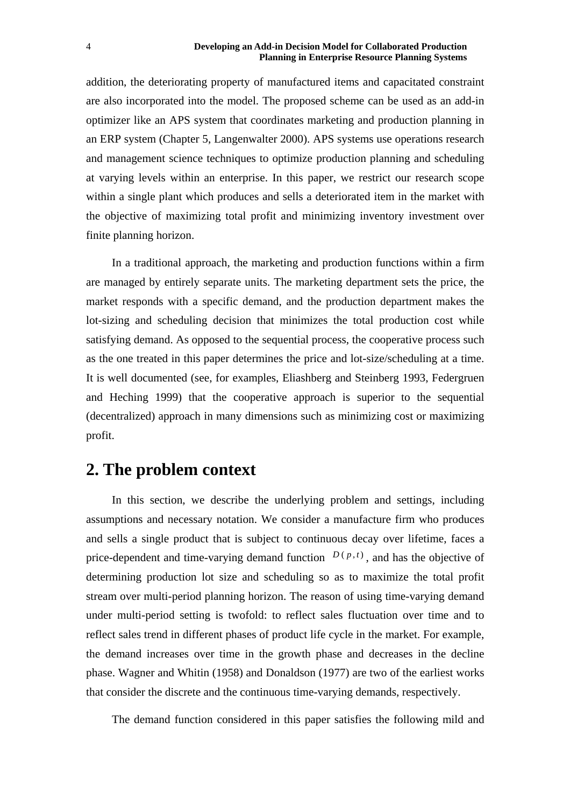#### **Developing an Add-in Decision Model for Collaborated Production Planning in Enterprise Resource Planning Systems**

addition, the deteriorating property of manufactured items and capacitated constraint are also incorporated into the model. The proposed scheme can be used as an add-in optimizer like an APS system that coordinates marketing and production planning in an ERP system (Chapter 5, Langenwalter 2000). APS systems use operations research and management science techniques to optimize production planning and scheduling at varying levels within an enterprise. In this paper, we restrict our research scope within a single plant which produces and sells a deteriorated item in the market with the objective of maximizing total profit and minimizing inventory investment over finite planning horizon.

In a traditional approach, the marketing and production functions within a firm are managed by entirely separate units. The marketing department sets the price, the market responds with a specific demand, and the production department makes the lot-sizing and scheduling decision that minimizes the total production cost while satisfying demand. As opposed to the sequential process, the cooperative process such as the one treated in this paper determines the price and lot-size/scheduling at a time. It is well documented (see, for examples, Eliashberg and Steinberg 1993, Federgruen and Heching 1999) that the cooperative approach is superior to the sequential (decentralized) approach in many dimensions such as minimizing cost or maximizing profit.

## **2. The problem context**

In this section, we describe the underlying problem and settings, including assumptions and necessary notation. We consider a manufacture firm who produces and sells a single product that is subject to continuous decay over lifetime, faces a price-dependent and time-varying demand function  $D(p,t)$ , and has the objective of determining production lot size and scheduling so as to maximize the total profit stream over multi-period planning horizon. The reason of using time-varying demand under multi-period setting is twofold: to reflect sales fluctuation over time and to reflect sales trend in different phases of product life cycle in the market. For example, the demand increases over time in the growth phase and decreases in the decline phase. Wagner and Whitin (1958) and Donaldson (1977) are two of the earliest works that consider the discrete and the continuous time-varying demands, respectively.

The demand function considered in this paper satisfies the following mild and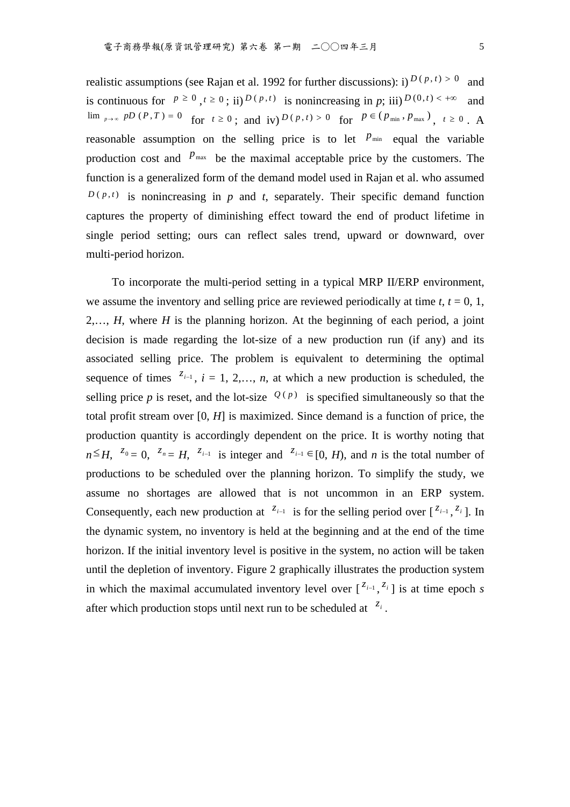realistic assumptions (see Rajan et al. 1992 for further discussions): i)  $D(p, t) > 0$  and is continuous for  $p \ge 0$ ,  $t \ge 0$ ; ii)  $D(p, t)$  is nonincreasing in p; iii)  $D(0, t) < +\infty$  and  $\lim_{p \to \infty} pD(P, T) = 0$  for  $t \ge 0$ ; and  $\text{iv})$   $D(p, t) > 0$  for  $P \in (p_{\min}, p_{\max})$ ,  $t \ge 0$ . A reasonable assumption on the selling price is to let  $P_{min}$  equal the variable production cost and  $P_{\text{max}}$  be the maximal acceptable price by the customers. The function is a generalized form of the demand model used in Rajan et al. who assumed  $D(p,t)$  is nonincreasing in *p* and *t*, separately. Their specific demand function captures the property of diminishing effect toward the end of product lifetime in single period setting; ours can reflect sales trend, upward or downward, over multi-period horizon.

To incorporate the multi-period setting in a typical MRP II/ERP environment, we assume the inventory and selling price are reviewed periodically at time  $t$ ,  $t = 0$ , 1, 2,…, *H*, where *H* is the planning horizon. At the beginning of each period, a joint decision is made regarding the lot-size of a new production run (if any) and its associated selling price. The problem is equivalent to determining the optimal sequence of times  $z_{i-1}$ ,  $i = 1, 2,..., n$ , at which a new production is scheduled, the selling price *p* is reset, and the lot-size  $Q(p)$  is specified simultaneously so that the total profit stream over [0, *H*] is maximized. Since demand is a function of price, the production quantity is accordingly dependent on the price. It is worthy noting that  $n \leq H$ ,  $z_0 = 0$ ,  $z_n = H$ ,  $z_{i-1}$  is integer and  $z_{i-1} \in [0, H)$ , and *n* is the total number of productions to be scheduled over the planning horizon. To simplify the study, we assume no shortages are allowed that is not uncommon in an ERP system. Consequently, each new production at  $z_{i-1}$  is for the selling period over  $\int z_{i-1} z_i$ . In the dynamic system, no inventory is held at the beginning and at the end of the time horizon. If the initial inventory level is positive in the system, no action will be taken until the depletion of inventory. Figure 2 graphically illustrates the production system in which the maximal accumulated inventory level over  $\begin{bmatrix} z_{i-1}, z_i \end{bmatrix}$  is at time epoch *s* after which production stops until next run to be scheduled at  $z_i$ .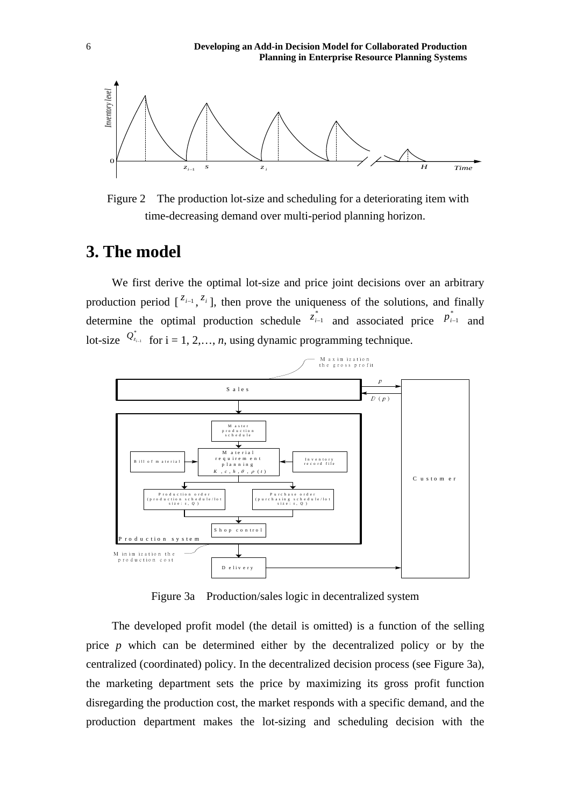

 Figure 2 The production lot-size and scheduling for a deteriorating item with time-decreasing demand over multi-period planning horizon.

# **3. The model**

We first derive the optimal lot-size and price joint decisions over an arbitrary production period  $\int_0^{\zeta_{i-1}}$ ,  $\zeta_i$ , then prove the uniqueness of the solutions, and finally determine the optimal production schedule  $z_{i-1}^{*}$  and associated price  $p_{i-1}^{*}$  and lot-size  $Q_{z_{i-1}}^*$  for  $i = 1, 2, ..., n$ , using dynamic programming technique.



Figure 3a Production/sales logic in decentralized system

The developed profit model (the detail is omitted) is a function of the selling price *p* which can be determined either by the decentralized policy or by the centralized (coordinated) policy. In the decentralized decision process (see Figure 3a), the marketing department sets the price by maximizing its gross profit function disregarding the production cost, the market responds with a specific demand, and the production department makes the lot-sizing and scheduling decision with the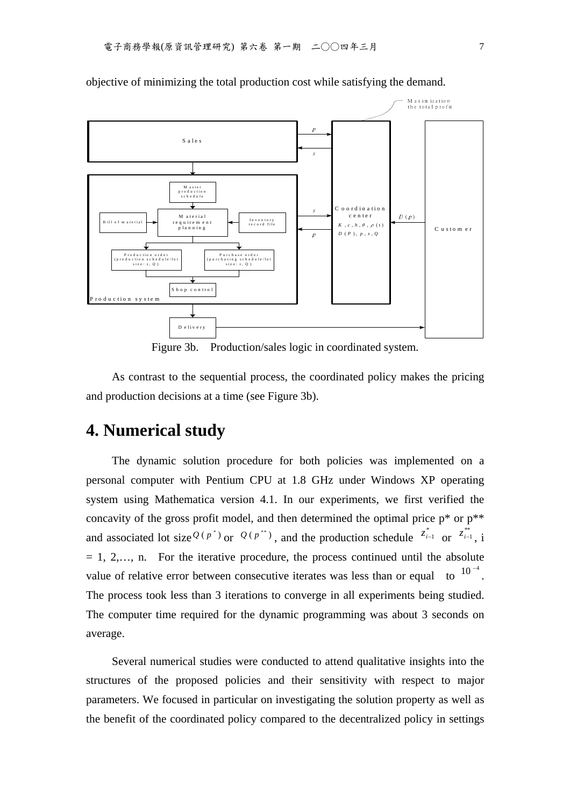

objective of minimizing the total production cost while satisfying the demand.

Figure 3b. Production/sales logic in coordinated system.

As contrast to the sequential process, the coordinated policy makes the pricing and production decisions at a time (see Figure 3b).

## **4. Numerical study**

The dynamic solution procedure for both policies was implemented on a personal computer with Pentium CPU at 1.8 GHz under Windows XP operating system using Mathematica version 4.1. In our experiments, we first verified the concavity of the gross profit model, and then determined the optimal price  $p^*$  or  $p^{**}$ and associated lot size  $Q(p^*)$  or  $Q(p^{**})$ , and the production schedule  $z_{i-1}^*$  or  $z_{i-1}^*$ , i  $= 1, 2,..., n$ . For the iterative procedure, the process continued until the absolute value of relative error between consecutive iterates was less than or equal to  $10^{-4}$ . The process took less than 3 iterations to converge in all experiments being studied. The computer time required for the dynamic programming was about 3 seconds on average.

Several numerical studies were conducted to attend qualitative insights into the structures of the proposed policies and their sensitivity with respect to major parameters. We focused in particular on investigating the solution property as well as the benefit of the coordinated policy compared to the decentralized policy in settings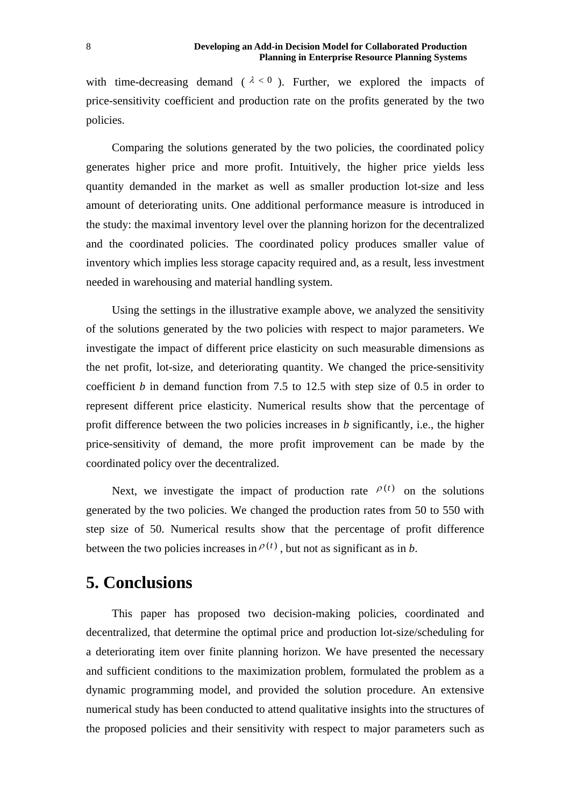with time-decreasing demand ( $\lambda < 0$ ). Further, we explored the impacts of price-sensitivity coefficient and production rate on the profits generated by the two policies.

Comparing the solutions generated by the two policies, the coordinated policy generates higher price and more profit. Intuitively, the higher price yields less quantity demanded in the market as well as smaller production lot-size and less amount of deteriorating units. One additional performance measure is introduced in the study: the maximal inventory level over the planning horizon for the decentralized and the coordinated policies. The coordinated policy produces smaller value of inventory which implies less storage capacity required and, as a result, less investment needed in warehousing and material handling system.

Using the settings in the illustrative example above, we analyzed the sensitivity of the solutions generated by the two policies with respect to major parameters. We investigate the impact of different price elasticity on such measurable dimensions as the net profit, lot-size, and deteriorating quantity. We changed the price-sensitivity coefficient *b* in demand function from 7.5 to 12.5 with step size of 0.5 in order to represent different price elasticity. Numerical results show that the percentage of profit difference between the two policies increases in *b* significantly, i.e., the higher price-sensitivity of demand, the more profit improvement can be made by the coordinated policy over the decentralized.

Next, we investigate the impact of production rate  $\rho(t)$  on the solutions generated by the two policies. We changed the production rates from 50 to 550 with step size of 50. Numerical results show that the percentage of profit difference between the two policies increases in  $P^{(t)}$ , but not as significant as in *b*.

### **5. Conclusions**

This paper has proposed two decision-making policies, coordinated and decentralized, that determine the optimal price and production lot-size/scheduling for a deteriorating item over finite planning horizon. We have presented the necessary and sufficient conditions to the maximization problem, formulated the problem as a dynamic programming model, and provided the solution procedure. An extensive numerical study has been conducted to attend qualitative insights into the structures of the proposed policies and their sensitivity with respect to major parameters such as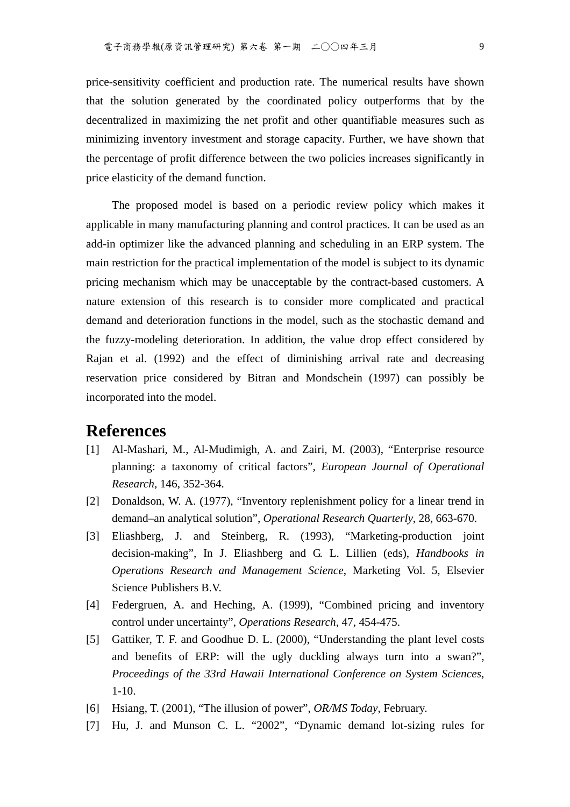price-sensitivity coefficient and production rate. The numerical results have shown that the solution generated by the coordinated policy outperforms that by the decentralized in maximizing the net profit and other quantifiable measures such as minimizing inventory investment and storage capacity. Further, we have shown that the percentage of profit difference between the two policies increases significantly in price elasticity of the demand function.

The proposed model is based on a periodic review policy which makes it applicable in many manufacturing planning and control practices. It can be used as an add-in optimizer like the advanced planning and scheduling in an ERP system. The main restriction for the practical implementation of the model is subject to its dynamic pricing mechanism which may be unacceptable by the contract-based customers. A nature extension of this research is to consider more complicated and practical demand and deterioration functions in the model, such as the stochastic demand and the fuzzy-modeling deterioration. In addition, the value drop effect considered by Rajan et al. (1992) and the effect of diminishing arrival rate and decreasing reservation price considered by Bitran and Mondschein (1997) can possibly be incorporated into the model.

### **References**

- [1] Al-Mashari, M., Al-Mudimigh, A. and Zairi, M. (2003), "Enterprise resource planning: a taxonomy of critical factors", *European Journal of Operational Research*, 146, 352-364.
- [2] Donaldson, W. A. (1977), "Inventory replenishment policy for a linear trend in demand–an analytical solution", *Operational Research Quarterly*, 28, 663-670.
- [3] Eliashberg, J. and Steinberg, R. (1993), "Marketing-production joint decision-making", In J. Eliashberg and G. L. Lillien (eds), *Handbooks in Operations Research and Management Science*, Marketing Vol. 5, Elsevier Science Publishers B.V.
- [4] Federgruen, A. and Heching, A. (1999), "Combined pricing and inventory control under uncertainty", *Operations Research*, 47, 454-475.
- [5] Gattiker, T. F. and Goodhue D. L. (2000), "Understanding the plant level costs and benefits of ERP: will the ugly duckling always turn into a swan?", *Proceedings of the 33rd Hawaii International Conference on System Sciences*, 1-10.
- [6] Hsiang, T. (2001), "The illusion of power", *OR/MS Today*, February.
- [7] Hu, J. and Munson C. L. "2002", "Dynamic demand lot-sizing rules for